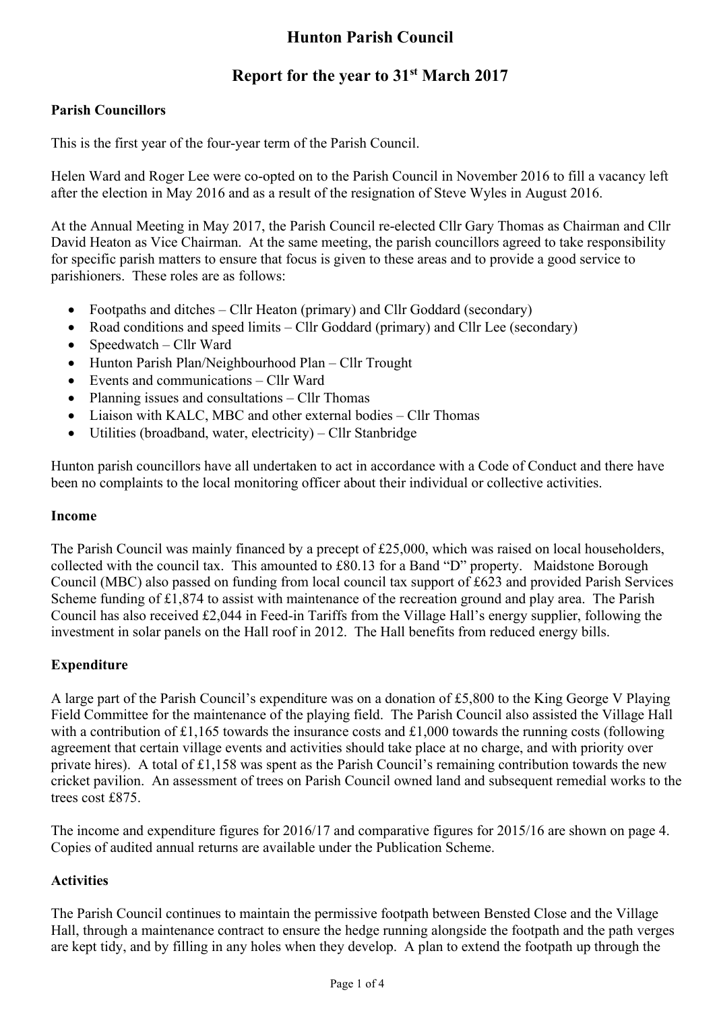# **Hunton Parish Council**

## **Report for the year to 31st March 2017**

### **Parish Councillors**

This is the first year of the four-year term of the Parish Council.

Helen Ward and Roger Lee were co-opted on to the Parish Council in November 2016 to fill a vacancy left after the election in May 2016 and as a result of the resignation of Steve Wyles in August 2016.

At the Annual Meeting in May 2017, the Parish Council re-elected Cllr Gary Thomas as Chairman and Cllr David Heaton as Vice Chairman. At the same meeting, the parish councillors agreed to take responsibility for specific parish matters to ensure that focus is given to these areas and to provide a good service to parishioners. These roles are as follows:

- Footpaths and ditches Cllr Heaton (primary) and Cllr Goddard (secondary)
- Road conditions and speed limits Cllr Goddard (primary) and Cllr Lee (secondary)
- Speedwatch Cllr Ward
- Hunton Parish Plan/Neighbourhood Plan Cllr Trought
- Events and communications Cllr Ward
- Planning issues and consultations Cllr Thomas
- Liaison with KALC, MBC and other external bodies Cllr Thomas
- Utilities (broadband, water, electricity) Cllr Stanbridge

Hunton parish councillors have all undertaken to act in accordance with a Code of Conduct and there have been no complaints to the local monitoring officer about their individual or collective activities.

#### **Income**

The Parish Council was mainly financed by a precept of £25,000, which was raised on local householders, collected with the council tax. This amounted to £80.13 for a Band "D" property. Maidstone Borough Council (MBC) also passed on funding from local council tax support of £623 and provided Parish Services Scheme funding of £1,874 to assist with maintenance of the recreation ground and play area. The Parish Council has also received £2,044 in Feed-in Tariffs from the Village Hall's energy supplier, following the investment in solar panels on the Hall roof in 2012. The Hall benefits from reduced energy bills.

#### **Expenditure**

A large part of the Parish Council's expenditure was on a donation of £5,800 to the King George V Playing Field Committee for the maintenance of the playing field. The Parish Council also assisted the Village Hall with a contribution of £1,165 towards the insurance costs and £1,000 towards the running costs (following agreement that certain village events and activities should take place at no charge, and with priority over private hires). A total of £1,158 was spent as the Parish Council's remaining contribution towards the new cricket pavilion. An assessment of trees on Parish Council owned land and subsequent remedial works to the trees cost £875.

The income and expenditure figures for 2016/17 and comparative figures for 2015/16 are shown on page 4. Copies of audited annual returns are available under the Publication Scheme.

#### **Activities**

The Parish Council continues to maintain the permissive footpath between Bensted Close and the Village Hall, through a maintenance contract to ensure the hedge running alongside the footpath and the path verges are kept tidy, and by filling in any holes when they develop. A plan to extend the footpath up through the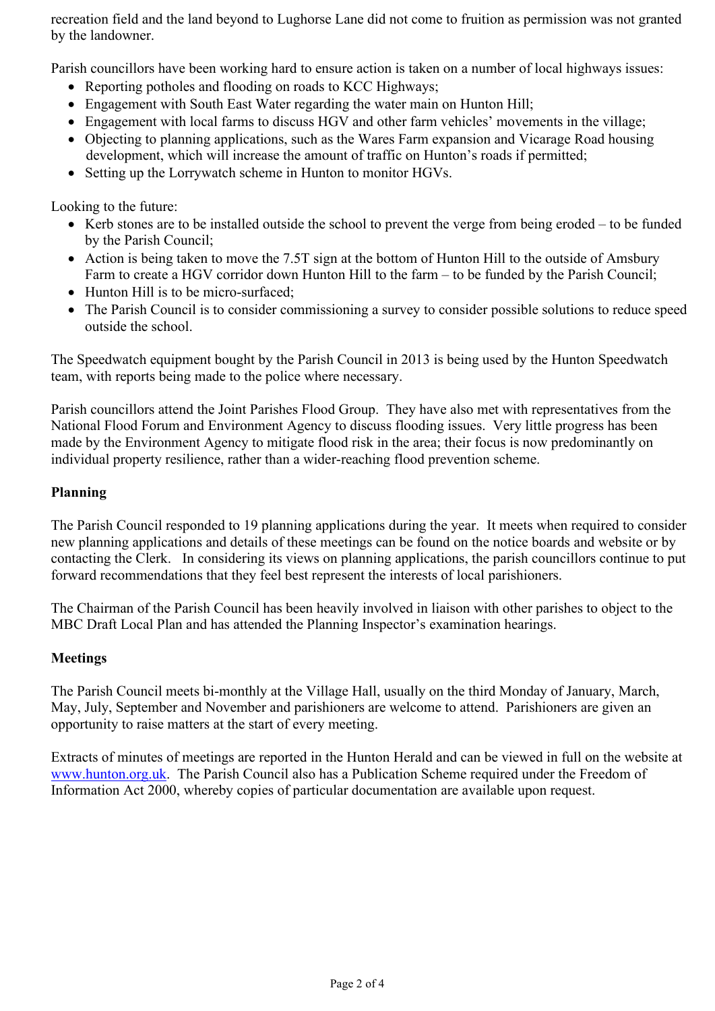recreation field and the land beyond to Lughorse Lane did not come to fruition as permission was not granted by the landowner.

Parish councillors have been working hard to ensure action is taken on a number of local highways issues:

- Reporting potholes and flooding on roads to KCC Highways;
- Engagement with South East Water regarding the water main on Hunton Hill;
- Engagement with local farms to discuss HGV and other farm vehicles' movements in the village;
- Objecting to planning applications, such as the Wares Farm expansion and Vicarage Road housing development, which will increase the amount of traffic on Hunton's roads if permitted;
- Setting up the Lorrywatch scheme in Hunton to monitor HGVs.

Looking to the future:

- Kerb stones are to be installed outside the school to prevent the verge from being eroded to be funded by the Parish Council;
- Action is being taken to move the 7.5T sign at the bottom of Hunton Hill to the outside of Amsbury Farm to create a HGV corridor down Hunton Hill to the farm – to be funded by the Parish Council;
- Hunton Hill is to be micro-surfaced;
- The Parish Council is to consider commissioning a survey to consider possible solutions to reduce speed outside the school.

The Speedwatch equipment bought by the Parish Council in 2013 is being used by the Hunton Speedwatch team, with reports being made to the police where necessary.

Parish councillors attend the Joint Parishes Flood Group. They have also met with representatives from the National Flood Forum and Environment Agency to discuss flooding issues. Very little progress has been made by the Environment Agency to mitigate flood risk in the area; their focus is now predominantly on individual property resilience, rather than a wider-reaching flood prevention scheme.

#### **Planning**

The Parish Council responded to 19 planning applications during the year. It meets when required to consider new planning applications and details of these meetings can be found on the notice boards and website or by contacting the Clerk. In considering its views on planning applications, the parish councillors continue to put forward recommendations that they feel best represent the interests of local parishioners.

The Chairman of the Parish Council has been heavily involved in liaison with other parishes to object to the MBC Draft Local Plan and has attended the Planning Inspector's examination hearings.

#### **Meetings**

The Parish Council meets bi-monthly at the Village Hall, usually on the third Monday of January, March, May, July, September and November and parishioners are welcome to attend. Parishioners are given an opportunity to raise matters at the start of every meeting.

Extracts of minutes of meetings are reported in the Hunton Herald and can be viewed in full on the website at www.hunton.org.uk. The Parish Council also has a Publication Scheme required under the Freedom of Information Act 2000, whereby copies of particular documentation are available upon request.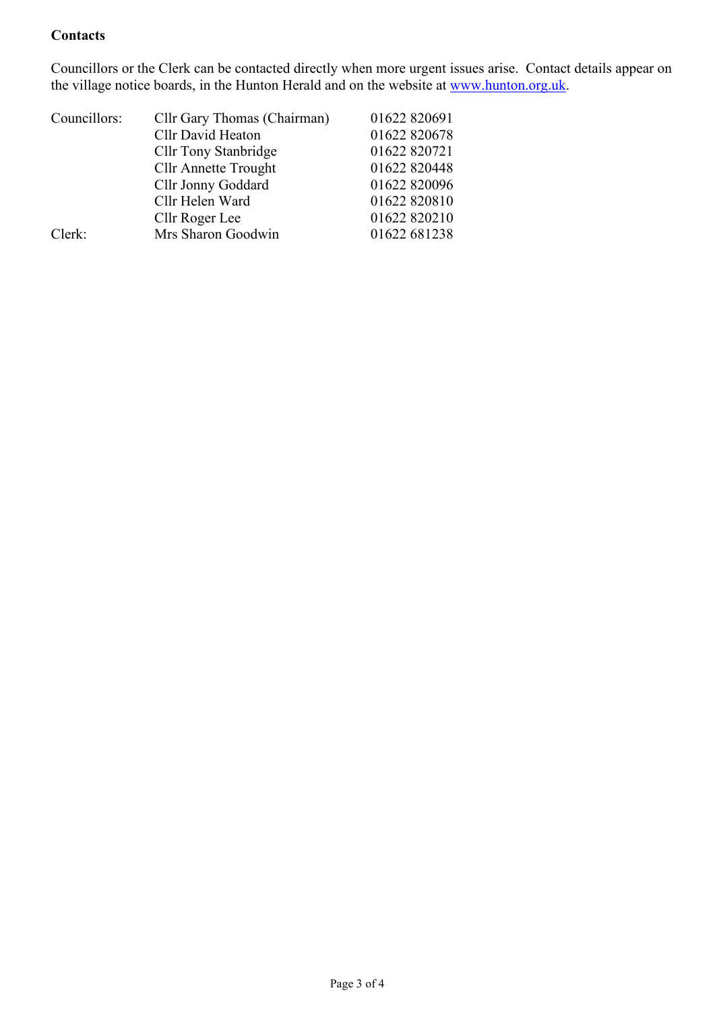#### **Contacts**

Councillors or the Clerk can be contacted directly when more urgent issues arise. Contact details appear on the village notice boards, in the Hunton Herald and on the website at www.hunton.org.uk.

| Councillors: | Cllr Gary Thomas (Chairman) | 01622 820691 |
|--------------|-----------------------------|--------------|
|              | Cllr David Heaton           | 01622 820678 |
|              | <b>Cllr Tony Stanbridge</b> | 01622 820721 |
|              | <b>Cllr Annette Trought</b> | 01622 820448 |
|              | Cllr Jonny Goddard          | 01622 820096 |
|              | Cllr Helen Ward             | 01622 820810 |
|              | Cllr Roger Lee              | 01622 820210 |
| Clerk:       | Mrs Sharon Goodwin          | 01622 681238 |